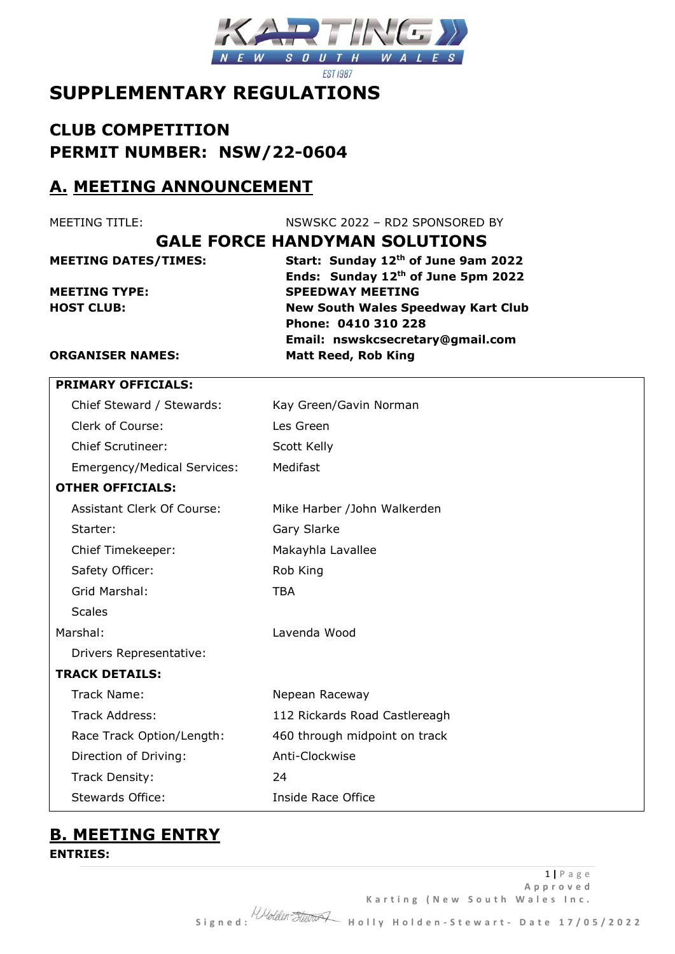

# **SUPPLEMENTARY REGULATIONS**

**CLUB COMPETITION PERMIT NUMBER: NSW/22-0604**

### **A. MEETING ANNOUNCEMENT**

MEETING TITLE: NSWSKC 2022 – RD2 SPONSORED BY

### **GALE FORCE HANDYMAN SOLUTIONS**

**MEETING DATES/TIMES: Start: Sunday 12th of June 9am 2022 Ends: Sunday 12th of June 5pm 2022 MEETING TYPE: SPEEDWAY MEETING HOST CLUB: New South Wales Speedway Kart Club Phone: 0410 310 228 Email: nswskcsecretary@gmail.com ORGANISER NAMES: Matt Reed, Rob King**

|                         | <b>PRIMARY OFFICIALS:</b>          |                               |  |
|-------------------------|------------------------------------|-------------------------------|--|
|                         | Chief Steward / Stewards:          | Kay Green/Gavin Norman        |  |
|                         | Clerk of Course:                   | Les Green                     |  |
|                         | <b>Chief Scrutineer:</b>           | Scott Kelly                   |  |
|                         | <b>Emergency/Medical Services:</b> | Medifast                      |  |
| <b>OTHER OFFICIALS:</b> |                                    |                               |  |
|                         | <b>Assistant Clerk Of Course:</b>  | Mike Harber /John Walkerden   |  |
|                         | Starter:                           | Gary Slarke                   |  |
|                         | Chief Timekeeper:                  | Makayhla Lavallee             |  |
|                         | Safety Officer:                    | Rob King                      |  |
|                         | Grid Marshal:                      | <b>TBA</b>                    |  |
|                         | <b>Scales</b>                      |                               |  |
| Marshal:                |                                    | Lavenda Wood                  |  |
|                         | Drivers Representative:            |                               |  |
|                         | <b>TRACK DETAILS:</b>              |                               |  |
|                         | Track Name:                        | Nepean Raceway                |  |
|                         | <b>Track Address:</b>              | 112 Rickards Road Castlereagh |  |
|                         | Race Track Option/Length:          | 460 through midpoint on track |  |
|                         | Direction of Driving:              | Anti-Clockwise                |  |
|                         | Track Density:                     | 24                            |  |
|                         | <b>Stewards Office:</b>            | <b>Inside Race Office</b>     |  |

# **B. MEETING ENTRY**

**ENTRIES:**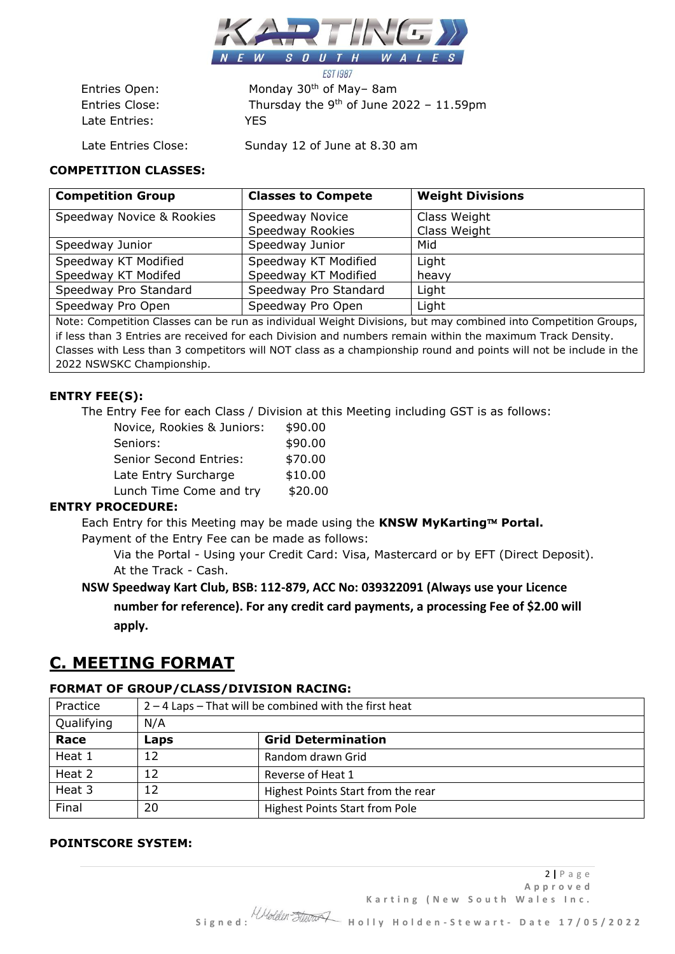

Late Entries: YES

**EST 1987** Entries Open: Monday 30<sup>th</sup> of May–8am Entries Close: Thursday the 9<sup>th</sup> of June 2022 - 11.59pm

Late Entries Close: Sunday 12 of June at 8.30 am

### **COMPETITION CLASSES:**

| <b>Competition Group</b>  | <b>Classes to Compete</b> | <b>Weight Divisions</b> |
|---------------------------|---------------------------|-------------------------|
| Speedway Novice & Rookies | Speedway Novice           | Class Weight            |
|                           | Speedway Rookies          | Class Weight            |
| Speedway Junior           | Speedway Junior           | Mid                     |
| Speedway KT Modified      | Speedway KT Modified      | Light                   |
| Speedway KT Modifed       | Speedway KT Modified      | heavy                   |
| Speedway Pro Standard     | Speedway Pro Standard     | Light                   |
| Speedway Pro Open         | Speedway Pro Open         | Light                   |
|                           |                           |                         |

Note: Competition Classes can be run as individual Weight Divisions, but may combined into Competition Groups, if less than 3 Entries are received for each Division and numbers remain within the maximum Track Density. Classes with Less than 3 competitors will NOT class as a championship round and points will not be include in the 2022 NSWSKC Championship.

### **ENTRY FEE(S):**

The Entry Fee for each Class / Division at this Meeting including GST is as follows:

| Novice, Rookies & Juniors:    | \$90.00 |
|-------------------------------|---------|
| Seniors:                      | \$90.00 |
| <b>Senior Second Entries:</b> | \$70.00 |
| Late Entry Surcharge          | \$10.00 |
| Lunch Time Come and try       | \$20.00 |

### **ENTRY PROCEDURE:**

Each Entry for this Meeting may be made using the KNSW MyKarting™ Portal.

Payment of the Entry Fee can be made as follows:

Via the Portal - Using your Credit Card: Visa, Mastercard or by EFT (Direct Deposit). At the Track - Cash.

### **NSW Speedway Kart Club, BSB: 112-879, ACC No: 039322091 (Always use your Licence number for reference). For any credit card payments, a processing Fee of \$2.00 will apply.**

### **C. MEETING FORMAT**

#### **FORMAT OF GROUP/CLASS/DIVISION RACING:**

| Practice   | $2 - 4$ Laps – That will be combined with the first heat |                                       |  |
|------------|----------------------------------------------------------|---------------------------------------|--|
| Qualifying | N/A                                                      |                                       |  |
| Race       | Laps                                                     | <b>Grid Determination</b>             |  |
| Heat 1     | 12                                                       | Random drawn Grid                     |  |
| Heat 2     | 12                                                       | Reverse of Heat 1                     |  |
| Heat 3     | 12                                                       | Highest Points Start from the rear    |  |
| Final      | 20                                                       | <b>Highest Points Start from Pole</b> |  |

#### **POINTSCORE SYSTEM:**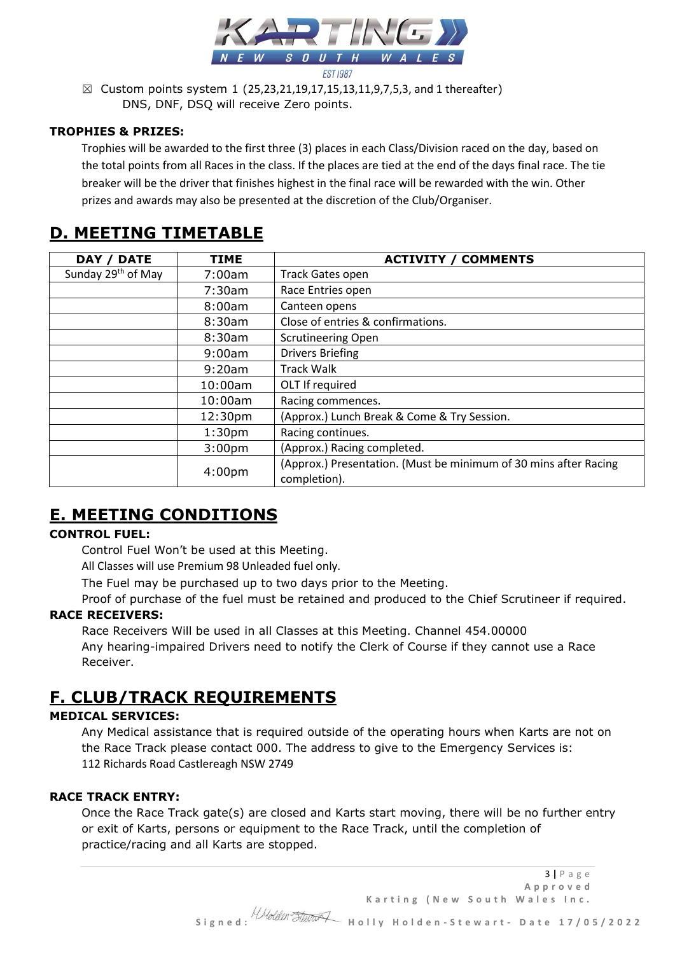

 $\boxtimes$  Custom points system 1 (25,23,21,19,17,15,13,11,9,7,5,3, and 1 thereafter) DNS, DNF, DSQ will receive Zero points.

### **TROPHIES & PRIZES:**

Trophies will be awarded to the first three (3) places in each Class/Division raced on the day, based on the total points from all Races in the class. If the places are tied at the end of the days final race. The tie breaker will be the driver that finishes highest in the final race will be rewarded with the win. Other prizes and awards may also be presented at the discretion of the Club/Organiser.

# **D. MEETING TIMETABLE**

| <b>DATE</b><br>DAY /           | <b>TIME</b>        | <b>ACTIVITY / COMMENTS</b>                                                       |
|--------------------------------|--------------------|----------------------------------------------------------------------------------|
| Sunday 29 <sup>th</sup> of May | 7:00am             | Track Gates open                                                                 |
|                                | 7:30am             | Race Entries open                                                                |
|                                | 8:00am             | Canteen opens                                                                    |
|                                | 8:30am             | Close of entries & confirmations.                                                |
|                                | 8:30am             | <b>Scrutineering Open</b>                                                        |
|                                | 9:00am             | <b>Drivers Briefing</b>                                                          |
|                                | 9:20am             | <b>Track Walk</b>                                                                |
|                                | 10:00am            | OLT If required                                                                  |
|                                | 10:00am            | Racing commences.                                                                |
|                                | 12:30pm            | (Approx.) Lunch Break & Come & Try Session.                                      |
|                                | 1:30 <sub>pm</sub> | Racing continues.                                                                |
|                                | 3:00 <sub>pm</sub> | (Approx.) Racing completed.                                                      |
|                                | 4:00 <sub>pm</sub> | (Approx.) Presentation. (Must be minimum of 30 mins after Racing<br>completion). |

# **E. MEETING CONDITIONS**

### **CONTROL FUEL:**

Control Fuel Won't be used at this Meeting.

All Classes will use Premium 98 Unleaded fuel only.

The Fuel may be purchased up to two days prior to the Meeting.

Proof of purchase of the fuel must be retained and produced to the Chief Scrutineer if required.

### **RACE RECEIVERS:**

Race Receivers Will be used in all Classes at this Meeting. Channel 454.00000 Any hearing-impaired Drivers need to notify the Clerk of Course if they cannot use a Race Receiver.

# **F. CLUB/TRACK REQUIREMENTS**

### **MEDICAL SERVICES:**

Any Medical assistance that is required outside of the operating hours when Karts are not on the Race Track please contact 000. The address to give to the Emergency Services is: 112 Richards Road Castlereagh NSW 2749

### **RACE TRACK ENTRY:**

Once the Race Track gate(s) are closed and Karts start moving, there will be no further entry or exit of Karts, persons or equipment to the Race Track, until the completion of practice/racing and all Karts are stopped.

3 **|** P a g e **A p p r o v e d**